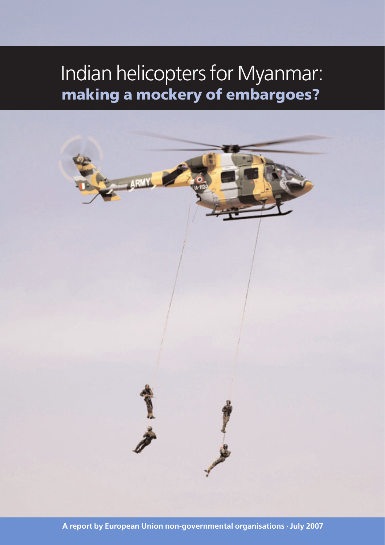# Indian helicopters for Myanmar: **making a mockery of embargoes?**

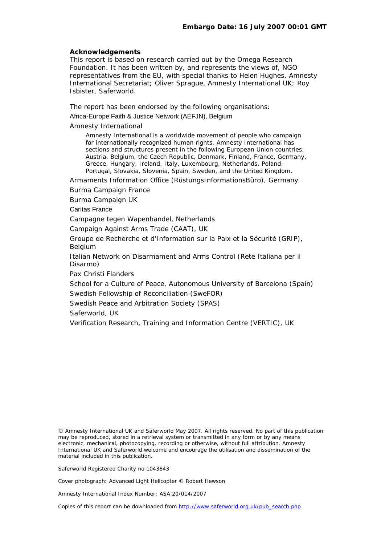#### **Acknowledgements**

This report is based on research carried out by the Omega Research Foundation. It has been written by, and represents the views of, NGO representatives from the EU, with special thanks to Helen Hughes, Amnesty International Secretariat; Oliver Sprague, Amnesty International UK; Roy Isbister, Saferworld.

The report has been endorsed by the following organisations:

Africa-Europe Faith & Justice Network (AEFJN), Belgium

Amnesty International

Amnesty International is a worldwide movement of people who campaign for internationally recognized human rights. Amnesty International has sections and structures present in the following European Union countries: Austria, Belgium, the Czech Republic, Denmark, Finland, France, Germany, Greece, Hungary, Ireland, Italy, Luxembourg, Netherlands, Poland, Portugal, Slovakia, Slovenia, Spain, Sweden, and the United Kingdom.

Armaments Information Office (RüstungsInformationsBüro), Germany

Burma Campaign France

Burma Campaign UK

Caritas France

Campagne tegen Wapenhandel, Netherlands

Campaign Against Arms Trade (CAAT), UK

[Gr](http://www.grip.org/interne/interne.html)oupe de Recherche et d'Information sur la Paix et la Sécurité (GRIP), Belgium

Italian Network on Disarmament and Arms Control (Rete Italiana per il Disarmo)

Pax Christi Flanders

School for a Culture of Peace, Autonomous University of Barcelona (Spain) Swedish Fellowship of Reconciliation (SweFOR)

Swedish Peace and Arbitration Society (SPAS)

Saferworld, UK

Verification Research, Training and Information Centre (VERTIC), UK

© Amnesty International UK and Saferworld May 2007. All rights reserved. No part of this publication may be reproduced, stored in a retrieval system or transmitted in any form or by any means electronic, mechanical, photocopying, recording or otherwise, without full attribution. Amnesty International UK and Saferworld welcome and encourage the utilisation and dissemination of the material included in this publication.

Saferworld Registered Charity no 1043843

Cover photograph: Advanced Light Helicopter © Robert Hewson

Amnesty International Index Number: ASA 20/014/2007

Copies of this report can be downloaded from http://www.saferworld.org.uk/pub\_search.php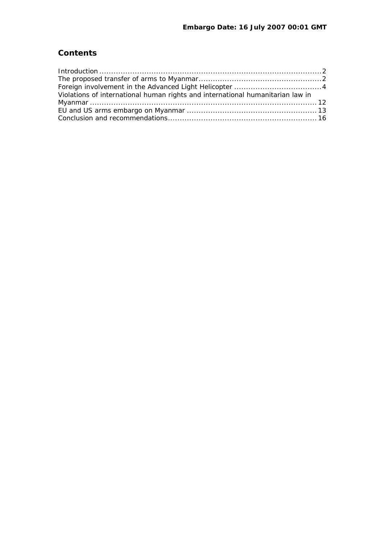# **Contents**

| Violations of international human rights and international humanitarian law in |  |
|--------------------------------------------------------------------------------|--|
|                                                                                |  |
|                                                                                |  |
|                                                                                |  |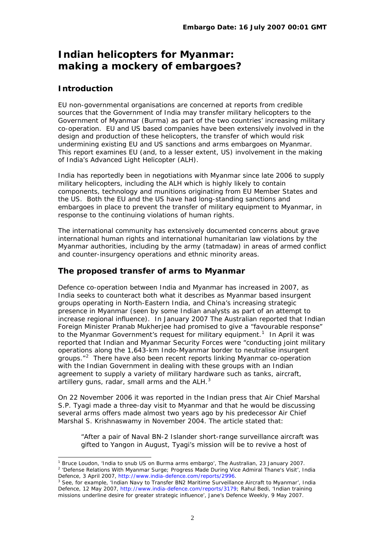# <span id="page-3-0"></span>**Indian helicopters for Myanmar: making a mockery of embargoes?**

# **Introduction**

l

EU non-governmental organisations are concerned at reports from credible sources that the Government of India may transfer military helicopters to the Government of Myanmar (Burma) as part of the two countries' increasing military co-operation. EU and US based companies have been extensively involved in the design and production of these helicopters, the transfer of which would risk undermining existing EU and US sanctions and arms embargoes on Myanmar. This report examines EU (and, to a lesser extent, US) involvement in the making of India's Advanced Light Helicopter (ALH).

India has reportedly been in negotiations with Myanmar since late 2006 to supply military helicopters, including the ALH which is highly likely to contain components, technology and munitions originating from EU Member States and the US. Both the EU and the US have had long-standing sanctions and embargoes in place to prevent the transfer of military equipment to Myanmar, in response to the continuing violations of human rights.

The international community has extensively documented concerns about grave international human rights and international humanitarian law violations by the Myanmar authorities, including by the army (*tatmadaw)* in areas of armed conflict and counter-insurgency operations and ethnic minority areas.

# **The proposed transfer of arms to Myanmar**

Defence co-operation between India and Myanmar has increased in 2007, as India seeks to counteract both what it describes as Myanmar based insurgent groups operating in North-Eastern India, and China's increasing strategic presence in Myanmar (seen by some Indian analysts as part of an attempt to increase regional influence). In January 2007 *The Australian* reported that Indian Foreign Minister Pranab Mukherjee had promised to give a "favourable response" to the Myanmar Government's request for military equipment.<sup>[1](#page-3-1)</sup> In April it was reported that Indian and Myanmar Security Forces were "conducting joint military operations along the 1,643-km Indo-Myanmar border to neutralise insurgent groups."<sup>[2](#page-3-2)</sup> There have also been recent reports linking Myanmar co-operation with the Indian Government in dealing with these groups with an Indian agreement to supply a variety of military hardware such as tanks, aircraft, artillery guns, radar, small arms and the ALH.<sup>[3](#page-3-3)</sup>

On 22 November 2006 it was reported in the Indian press that Air Chief Marshal S.P. Tyagi made a three-day visit to Myanmar and that he would be discussing several arms offers made almost two years ago by his predecessor Air Chief Marshal S. Krishnaswamy in November 2004. The article stated that:

"After a pair of Naval BN-2 Islander short-range surveillance aircraft was gifted to Yangon in August, Tyagi's mission will be to revive a host of

<span id="page-3-2"></span><span id="page-3-1"></span><sup>&</sup>lt;sup>1</sup> Bruce Loudon, 'India to snub US on Burma arms embargo', *The Australian*, 23 January 2007.<br><sup>2</sup> 'Defense Belations With Myanmar Surge: Progress Made During Vice Admiral Thane's Visit', *It* 'Defense Relations With Myanmar Surge; Progress Made During Vice Admiral Thane's Visit', *India* 

<span id="page-3-3"></span>Defence, 3 April 2007, [http://www.india-defence.com/reports/2996](https://mailgate.saferworld.org.uk/exchweb/bin/redir.asp?URL=http://www.india-defence.com/reports/2996). See, for example, 'Indian Navy to Transfer BN2 Maritime Surveillance Aircraft to Myanmar', *India Defence,* 12 May 2007, [http://www.india-defence.com/reports/3179](https://mailgate.saferworld.org.uk/exchweb/bin/redir.asp?URL=http://www.india-defence.com/reports/3179); Rahul Bedi, 'Indian training missions underline desire for greater strategic influence', *Jane's Defence Weekly*, 9 May 2007.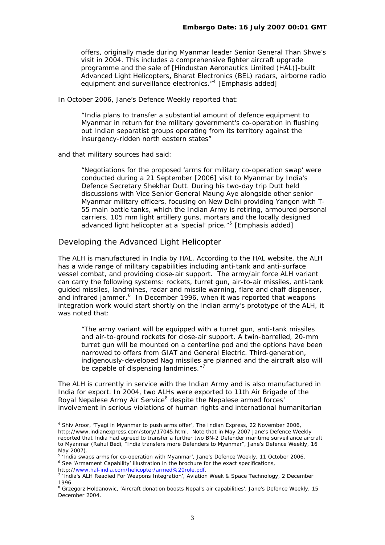offers, originally made during Myanmar leader Senior General Than Shwe's visit in 2004. This includes a comprehensive fighter aircraft upgrade programme *and the sale of [Hindustan Aeronautics Limited (HAL)]-built Advanced Light Helicopters***,** Bharat Electronics (BEL) radars, airborne radio equipment and surveillance electronics."<sup>[4](#page-4-0)</sup> [Emphasis added]

In October 2006, Jane's Defence Weekly reported that:

"India plans to transfer a substantial amount of defence equipment to Myanmar in return for the military government's co-operation in flushing out Indian separatist groups operating from its territory against the insurgency-ridden north eastern states"

and that military sources had said:

"Negotiations for the proposed 'arms for military co-operation swap' were conducted during a 21 September [2006] visit to Myanmar by India's Defence Secretary Shekhar Dutt. During his two-day trip Dutt held discussions with Vice Senior General Maung Aye alongside other senior Myanmar military officers, focusing on New Delhi providing Yangon with T-55 main battle tanks, which the Indian Army is retiring, armoured personal carriers, 105 mm light artillery guns, mortars and *the locally designed advanced light helicopter at a 'special' price*."[5](#page-4-1) [Emphasis added]

# Developing the Advanced Light Helicopter

The ALH is manufactured in India by HAL. According to the HAL website, the ALH has a wide range of military capabilities including anti-tank and anti-surface vessel combat, and providing close-air support. The army/air force ALH variant can carry the following systems: rockets, turret gun, air-to-air missiles, anti-tank guided missiles, landmines, radar and missile warning, flare and chaff dispenser, and infrared jammer.<sup>[6](#page-4-2)</sup> In December 1996, when it was reported that weapons integration work would start shortly on the Indian army's prototype of the ALH, it was noted that:

"The army variant will be equipped with a turret gun, anti-tank missiles and air-to-ground rockets for close-air support. A twin-barrelled, 20-mm turret gun will be mounted on a centerline pod and the options have been narrowed to offers from GIAT and General Electric. Third-generation, indigenously-developed Nag missiles are planned and the aircraft also will be capable of dispensing landmines."<sup>[7](#page-4-3)</sup>

The ALH is currently in service with the Indian Army and is also manufactured in India for export. In 2004, two ALHs were exported to 11th Air Brigade of the Royal Nepalese Army Air Service<sup>[8](#page-4-4)</sup> despite the Nepalese armed forces' involvement in serious violations of human rights and international humanitarian

<span id="page-4-2"></span>http:/[/www.hal-india.com/helicopter/armed%20role.pdf.](http://www.hal-india.com/helicopter/armed%20role.pdf) 7

<span id="page-4-0"></span><sup>4</sup> Shiv Aroor, 'Tyagi in Myanmar to push arms offer', *The Indian Express*, 22 November 2006, [http://www.indianexpress.com/story/17045.html.](http://www.indianexpress.com/story/17045.html) Note that in May 2007 Jane's Defence Weekly reported that India had agreed to transfer a further two BN-2 Defender maritime surveillance aircraft to Myanmar (Rahul Bedi, "India transfers more Defenders to Myanmar", *Jane's Defence Weekly*, 16 May 2007).

<span id="page-4-1"></span><sup>&</sup>lt;sup>5</sup> 'India swaps arms for co-operation with Myanmar', *Jane's Defence Weekly*, 11 October 2006.<br><sup>6</sup> Soo 'Armament Capability' illustration in the brochure for the exact specifications See 'Armament Capability' illustration in the brochure for the exact specifications,

<span id="page-4-3"></span><sup>&</sup>lt;sup>7</sup> 'India's ALH Readied For Weapons Integration', *Aviation Week & Space Technology*, 2 December 1996.

<span id="page-4-4"></span><sup>8</sup> Grzegorz Holdanowic, 'Aircraft donation boosts Nepal's air capabilities', *Jane's Defence Weekly*, 15 December 2004.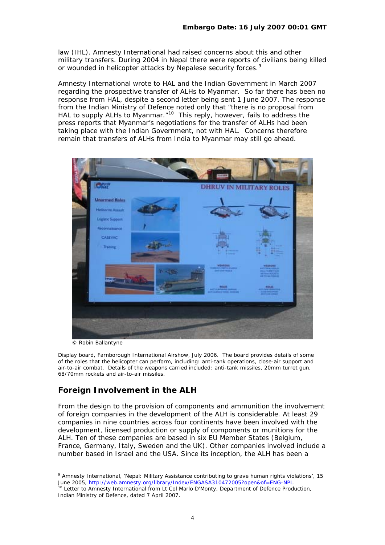<span id="page-5-0"></span>law (IHL). Amnesty International had raised concerns about this and other military transfers. During 2004 in Nepal there were reports of civilians being killed or wounded in helicopter attacks by Nepalese security forces.<sup>[9](#page-5-1)</sup>

Amnesty International wrote to HAL and the Indian Government in March 2007 regarding the prospective transfer of ALHs to Myanmar. So far there has been no response from HAL, despite a second letter being sent 1 June 2007. The response from the Indian Ministry of Defence noted only that "there is no proposal from HAL to supply ALHs to Myanmar."<sup>[10](#page-5-2)</sup> This reply, however, fails to address the press reports that Myanmar's negotiations for the transfer of ALHs had been taking place with the *Indian Government*, not with HAL. Concerns therefore remain that transfers of ALHs from India to Myanmar may still go ahead.



© Robin Ballantyne

Display board, Farnborough International Airshow, July 2006. The board provides details of some of the roles that the helicopter can perform, including: anti-tank operations, close-air support and air-to-air combat. Details of the weapons carried included: anti-tank missiles, 20mm turret gun, 68/70mm rockets and air-to-air missiles.

# **Foreign Involvement in the ALH**

From the design to the provision of components and ammunition the involvement of foreign companies in the development of the ALH is considerable. At least 29 companies in nine countries across four continents have been involved with the development, licensed production or supply of components or munitions for the ALH. Ten of these companies are based in six EU Member States (Belgium, France, Germany, Italy, Sweden and the UK). Other companies involved include a number based in Israel and the USA. Since its inception, the ALH has been a

<span id="page-5-1"></span> 9 Amnesty International, 'Nepal: Military Assistance contributing to grave human rights violations', 15 June 2005, [http://web.amnesty.org/library/Index/ENGASA310472005?open&of=ENG-NPL.](http://web.amnesty.org/library/Index/ENGASA310472005?open&of=ENG-NPL)<br><sup>10</sup> Letter to Amnesty International from Lt Col Marlo D'Monty, Department of Defence Production,

<span id="page-5-2"></span>Indian Ministry of Defence, dated 7 April 2007.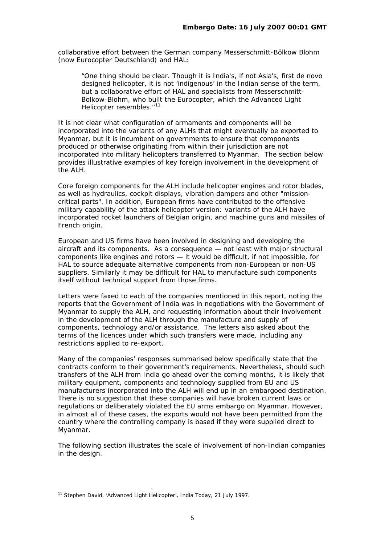collaborative effort between the German company Messerschmitt-Bölkow Blohm (now Eurocopter Deutschland) and HAL:

"One thing should be clear. Though it is India's, if not Asia's, first *de novo* designed helicopter, it is not 'indigenous' in the Indian sense of the term, but a collaborative effort of HAL and specialists from Messerschmitt-Bolkow-Blohm, who built the Eurocopter, which the Advanced Light Helicopter resembles."<sup>[11](#page-6-0)</sup>

It is not clear what configuration of armaments and components will be incorporated into the variants of any ALHs that might eventually be exported to Myanmar, but it is incumbent on governments to ensure that components produced or otherwise originating from within their jurisdiction are not incorporated into military helicopters transferred to Myanmar. The section below provides illustrative examples of key foreign involvement in the development of the ALH.

Core foreign components for the ALH include helicopter engines and rotor blades, as well as hydraulics, cockpit displays, vibration dampers and other "missioncritical parts". In addition, European firms have contributed to the offensive military capability of the attack helicopter version: variants of the ALH have incorporated rocket launchers of Belgian origin, and machine guns and missiles of French origin.

European and US firms have been involved in designing and developing the aircraft and its components. As a consequence — not least with major structural components like engines and rotors — it would be difficult, if not impossible, for HAL to source adequate alternative components from non-European or non-US suppliers. Similarly it may be difficult for HAL to manufacture such components itself without technical support from those firms.

Letters were faxed to each of the companies mentioned in this report, noting the reports that the Government of India was in negotiations with the Government of Myanmar to supply the ALH, and requesting information about their involvement in the development of the ALH through the manufacture and supply of components, technology and/or assistance. The letters also asked about the terms of the licences under which such transfers were made, including any restrictions applied to re-export.

Many of the companies' responses summarised below specifically state that the contracts conform to their government's requirements. Nevertheless, should such transfers of the ALH from India go ahead over the coming months, it is likely that military equipment, components and technology supplied from EU and US manufacturers incorporated into the ALH will end up in an embargoed destination. There is no suggestion that these companies will have broken current laws or regulations or deliberately violated the EU arms embargo on Myanmar. However, in almost all of these cases, the exports would not have been permitted from the country where the controlling company is based if they were supplied direct to Myanmar.

The following section illustrates the scale of involvement of non-Indian companies in the design.

<span id="page-6-0"></span><sup>11</sup> Stephen David, 'Advanced Light Helicopter', *India Today*, 21 July 1997.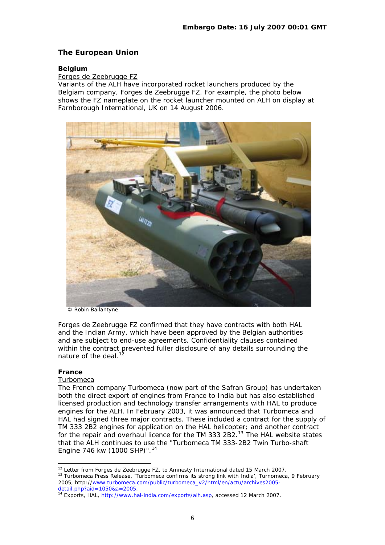# **The European Union**

#### **Belgium**

# Forges de Zeebrugge FZ

Variants of the ALH have incorporated rocket launchers produced by the Belgiam company, Forges de Zeebrugge FZ. For example, the photo below shows the FZ nameplate on the rocket launcher mounted on ALH on display at Farnborough International, UK on 14 August 2006.



© Robin Ballantyne

Forges de Zeebrugge FZ confirmed that they have contracts with both HAL and the Indian Army, which have been approved by the Belgian authorities and are subject to end-use agreements. Confidentiality clauses contained within the contract prevented fuller disclosure of any details surrounding the nature of the deal. $<sup>1</sup>$ </sup>

#### **France**

#### Turbomeca

The French company Turbomeca (now part of the Safran Group) has undertaken both the direct export of engines from France to India but has also established licensed production and technology transfer arrangements with HAL to produce engines for the ALH. In February 2003, it was announced that Turbomeca and HAL had signed three major contracts. These included a contract for the supply of TM 333 2B2 engines for application on the HAL helicopter; and another contract for the repair and overhaul licence for the TM 333 2B2.<sup>[13](#page-7-1)</sup> The HAL website states that the ALH continues to use the "Turbomeca TM 333-2B2 Twin Turbo-shaft Engine 746 kw (1000 SHP)".<sup>[14](#page-7-2)</sup>

<span id="page-7-1"></span><span id="page-7-0"></span>l <sup>12</sup> Letter from Forges de Zeebrugge FZ, to Amnesty International dated 15 March 2007.<br><sup>13</sup> Turbomeca Press Release, 'Turbomeca confirms its strong link with India', *Turnomeca*, 9 February 2005, http:/[/www.turbomeca.com/public/turbomeca\\_v2/html/en/actu/archives2005](http://www.turbomeca.com/public/turbomeca_v2/html/en/actu/archives2005-detail.php?aid=1050&a=2005) [detail.php?aid=1050&a=2005.](http://www.turbomeca.com/public/turbomeca_v2/html/en/actu/archives2005-detail.php?aid=1050&a=2005)<br><sup>14</sup> Exports, HAL, [http://www.hal-india.com/exports/alh.asp,](http://www.hal-india.com/exports/alh.asp) accessed 12 March 2007.

<span id="page-7-2"></span>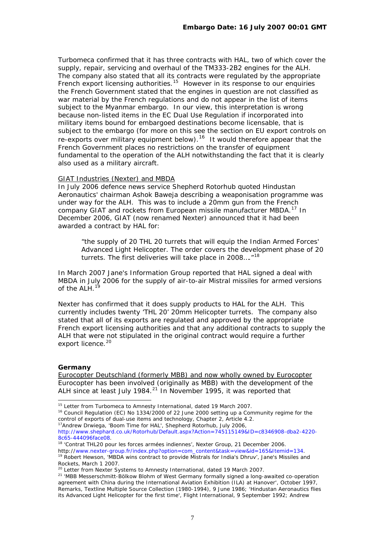Turbomeca confirmed that it has three contracts with HAL, two of which cover the supply, repair, servicing and overhaul of the TM333-2B2 engines for the ALH. The company also stated that all its contracts were regulated by the appropriate French export licensing authorities.<sup>[15](#page-8-0)</sup> However in its response to our enquiries the French Government stated that the engines in question are not classified as war material by the French regulations and do not appear in the list of items subject to the Myanmar embargo. In our view, this interpretation is wrong because non-listed items in the EC Dual Use Regulation if incorporated into military items bound for embargoed destinations become licensable, that is subject to the embargo (for more on this see the section on *EU export controls on re-exports over military equipment* below).[16](#page-8-1) It would therefore appear that the French Government places no restrictions on the transfer of equipment fundamental to the operation of the ALH notwithstanding the fact that it is clearly also used as a military aircraft.

#### GIAT Industries (Nexter) and MBDA

In July 2006 defence news service Shepherd Rotorhub quoted Hindustan Aeronautics' chairman Ashok Baweja describing a weaponisation programme was under way for the ALH. This was to include a 20mm gun from the French company GIAT and rockets from European missile manufacturer MBDA.<sup>[17](#page-8-2)</sup> In December 2006, GIAT (now renamed Nexter) announced that it had been awarded a contract by HAL for:

"the supply of 20 THL 20 turrets that will equip the Indian Armed Forces' Advanced Light Helicopter. The order covers the development phase of 20 turrets. The first deliveries will take place in 2008...."<sup>[18](#page-8-3)</sup>

In March 2007 Jane's Information Group reported that HAL signed a deal with MBDA in July 2006 for the supply of air-to-air Mistral missiles for armed versions of the ALH.<sup>1</sup>

Nexter has confirmed that it does supply products to HAL for the ALH. This currently includes twenty 'THL 20' 20mm Helicopter turrets. The company also stated that all of its exports are regulated and approved by the appropriate French export licensing authorities and that any additional contracts to supply the ALH that were not stipulated in the original contract would require a further export licence.<sup>[20](#page-8-5)</sup>

#### **Germany**

l

Eurocopter Deutschland (formerly MBB) and now wholly owned by Eurocopter Eurocopter has been involved (originally as MBB) with the development of the ALH since at least July 1984.<sup>[21](#page-8-6)</sup> In November 1995, it was reported that

<span id="page-8-0"></span><sup>&</sup>lt;sup>15</sup> Letter from Turbomeca to Amnesty International, dated 19 March 2007.

<span id="page-8-1"></span><sup>&</sup>lt;sup>16</sup> Council Regulation (EC) No 1334/2000 of 22 June 2000 setting up a Community regime for the control of exports of dual-use items and technology, Chapter 2, Article 4.2. 17Andrew Drwiega, 'Boom Time for HAL', *Shepherd Rotorhub*, July 2006,

<span id="page-8-2"></span>http:/[/www.shephard.co.uk/Rotorhub/Default.aspx?Action=745115149&ID=c8346908-dba2-4220-](http://www.shephard.co.uk/Rotorhub/Default.aspx?Action=745115149&ID=c8346908-dba2-4220-8c65-444096face08) [8c65-444096face08](http://www.shephard.co.uk/Rotorhub/Default.aspx?Action=745115149&ID=c8346908-dba2-4220-8c65-444096face08).<br><sup>18</sup> 'Contrat THL20 pour les forces armées indiennes', *Nexter Group*, 21 December 2006.

<span id="page-8-3"></span>

<span id="page-8-4"></span>http:/[/www.nexter-group.fr/index.php?option=com\\_content&task=view&id=165&Itemid=134](http://www.nexter-group.fr/index.php?option=com_content&task=view&id=165&Itemid=134).<br><sup>19</sup> Robert Hewson, 'MBDA wins contract to provide Mistrals for India's Dhruv', *Jane's Missiles and*<br>*Rockets*, March 1 2007.

<sup>&</sup>lt;sup>20</sup> Letter from Nexter Systems to Amnesty International, dated 19 March 2007.

<span id="page-8-6"></span><span id="page-8-5"></span><sup>&</sup>lt;sup>21</sup> 'MBB Messerschmitt-Bölkow Blohm of West Germany formally signed a long-awaited co-operation agreement with China during the International Aviation Exhibition (ILA) at Hanover', October 1997, *Remarks*, Textline Multiple Source Collection (1980-1994), 9 June 1986; 'Hindustan Aeronautics flies its Advanced Light Helicopter for the first time', *Flight International*, 9 September 1992; Andrew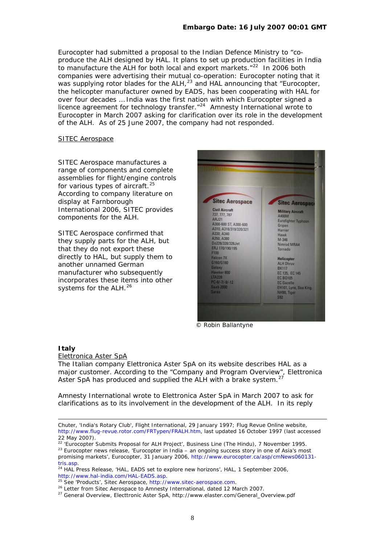Eurocopter had submitted a proposal to the Indian Defence Ministry to "coproduce the ALH designed by HAL. It plans to set up production facilities in India to manufacture the ALH for both local and export markets.<sup>"[22](#page-9-0)</sup> In 2006 both companies were advertising their mutual co-operation: Eurocopter noting that it was supplying rotor blades for the ALH,<sup>[23](#page-9-1)</sup> and HAL announcing that "Eurocopter, the helicopter manufacturer owned by EADS, has been cooperating with HAL for over four decades … India was the first nation with which Eurocopter signed a **licence agreement for technology transfer.**"<sup>[24](#page-9-2)</sup> Amnesty International wrote to Eurocopter in March 2007 asking for clarification over its role in the development of the ALH. As of 25 June 2007, the company had not responded.

#### SITEC Aerospace

SITEC Aerospace manufactures a range of components and complete assemblies for flight/engine controls for various types of aircraft. $25$ According to company literature on display at Farnborough International 2006, SITEC provides components for the ALH.

SITEC Aerospace confirmed that they supply parts for the ALH, but that they do not export these directly to HAL, but supply them to another unnamed German manufacturer who subsequently incorporates these items into other systems for the ALH.<sup>[26](#page-9-4)</sup>



© Robin Ballantyne

#### **Italy**

1

#### Elettronica Aster SpA

The Italian company Elettronica Aster SpA on its website describes HAL as a major customer. According to the "Company and Program Overview", Elettronica Aster SpA has produced and supplied the ALH with a brake system.<sup>[27](#page-9-5)</sup>

Amnesty International wrote to Elettronica Aster SpA in March 2007 to ask for clarifications as to its involvement in the development of the ALH. In its reply

Chuter, 'India's Rotary Club', *Flight International*, 29 January 1997; *Flug Revue Online website*, http://www.flug-revue.rotor.com/FRTypen/FRALH.htm, last updated 16 October 1997 (last accessed 22 May 2007).<br><sup>22</sup> 'Eurocopter Submits Proposal for ALH Project', Business Line (The Hindu), 7 November 1995.

<span id="page-9-1"></span><span id="page-9-0"></span><sup>&</sup>lt;sup>23</sup> Eurocopter news release, 'Eurocopter in India – an ongoing success story in one of Asia's most promising markets', *Eurocopter*, 31 January 2006, [http://www.eurocopter.ca/asp/cmNews060131-](http://www.eurocopter.ca/asp/cmNews060131-tris.asp)

<span id="page-9-2"></span>[tris.asp.](http://www.eurocopter.ca/asp/cmNews060131-tris.asp) 24 HAL Press Release, 'HAL, EADS set to explore new horizons', *HAL*, 1 September 2006, <http://www.hal-india.com/HAL-EADS.asp>.<br><sup>25</sup> See 'Products', Sitec Aerospace, [http://www.sitec-aerospace.com.](http://www.sitec-aerospace.com/)<br><sup>26</sup> Letter from Sitec Aerospace to Amnesty International, dated 12 March 2007.

<span id="page-9-3"></span>

<span id="page-9-5"></span><span id="page-9-4"></span><sup>27</sup> General Overview, *Electtronic Aster SpA*, [http://www.elaster.com/General\\_Overview.pdf](http://www.elaster.com/General_Overview.pdf)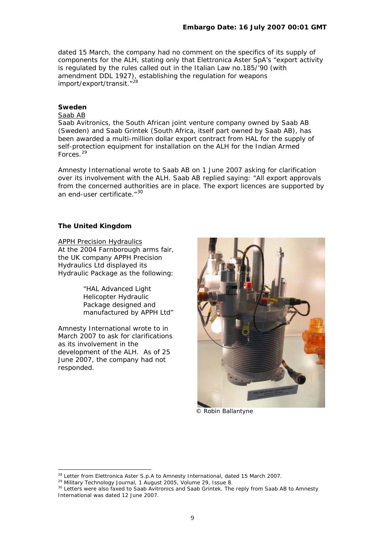dated 15 March, the company had no comment on the specifics of its supply of components for the ALH, stating only that Elettronica Aster SpA's "export activity is regulated by the rules called out in the Italian Law no.185/'90 (with amendment DDL 1927), establishing the regulation for weapons import/export/transit."<sup>[28](#page-10-0)</sup>

#### **Sweden**

# Saab AB

Saab Avitronics, the South African joint venture company owned by Saab AB (Sweden) and Saab Grintek (South Africa, itself part owned by Saab AB), has been awarded a multi-million dollar export contract from HAL for the supply of self-protection equipment for installation on the ALH for the Indian Armed Forces.[29](#page-10-1)

Amnesty International wrote to Saab AB on 1 June 2007 asking for clarification over its involvement with the ALH. Saab AB replied saying: "All export approvals from the concerned authorities are in place. The export licences are supported by an end-user certificate. "[30](#page-10-2)

#### **The United Kingdom**

APPH Precision Hydraulics At the 2004 Farnborough arms fair, the UK company APPH Precision Hydraulics Ltd displayed its Hydraulic Package as the following:

> "*HAL Advanced Light Helicopter Hydraulic Package designed and manufactured by APPH Ltd"*

Amnesty International wrote to in March 2007 to ask for clarifications as its involvement in the development of the ALH. As of 25 June 2007, the company had not responded.



© Robin Ballantyne

<span id="page-10-0"></span> $^{28}$  Letter from Elettronica Aster S.p.A to Amnesty International, dated 15 March 2007.

<span id="page-10-1"></span><sup>29</sup> Military Technology Journal, 1 August 2005, Volume 29, Issue 8.

<span id="page-10-2"></span><sup>&</sup>lt;sup>30</sup> Letters were also faxed to Saab Avitronics and Saab Grintek. The reply from Saab AB to Amnesty International was dated 12 June 2007.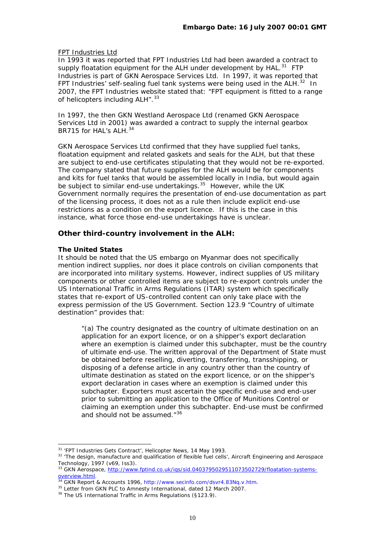#### FPT Industries Ltd

In 1993 it was reported that FPT Industries Ltd had been awarded a contract to supply floatation equipment for the ALH under development by  $HAL.<sup>31</sup> FTP$  $HAL.<sup>31</sup> FTP$  $HAL.<sup>31</sup> FTP$ Industries is part of GKN Aerospace Services Ltd. In 1997, it was reported that FPT Industries' self-sealing fuel tank systems were being used in the ALH.<sup>[32](#page-11-1)</sup> In 2007, the FPT Industries website stated that: "FPT equipment is fitted to a range of helicopters including ALH". [33](#page-11-2)

In 1997, the then GKN Westland Aerospace Ltd (renamed GKN Aerospace Services Ltd in 2001) was awarded a contract to supply the internal gearbox BR715 for HAL's AI H. [34](#page-11-3)

GKN Aerospace Services Ltd confirmed that they have supplied fuel tanks, floatation equipment and related gaskets and seals for the ALH, but that these are subject to end-use certificates stipulating that they would not be re-exported. The company stated that future supplies for the ALH would be for components and kits for fuel tanks that would be assembled locally in India, but would again be subject to similar end-use undertakings.<sup>[35](#page-11-4)</sup> However, while the UK Government normally requires the presentation of end-use documentation as part of the licensing process, it does not as a rule then include explicit end-use restrictions as a *condition* on the export *licence*. If this is the case in this instance, what force those end-use undertakings have is unclear.

# **Other third-country involvement in the ALH:**

#### **The United States**

l

It should be noted that the US embargo on Myanmar does not specifically mention indirect supplies, nor does it place controls on civilian components that are incorporated into military systems. However, indirect supplies of US military components or other controlled items are subject to re-export controls under the US International Traffic in Arms Regulations (ITAR) system which specifically states that re-export of US-controlled content can only take place with the express permission of the US Government. Section 123.9 "Country of ultimate destination" provides that:

"(a) The country designated as the country of ultimate destination on an application for an export licence, or on a shipper's export declaration where an exemption is claimed under this subchapter, must be the country of ultimate end-use. The written approval of the Department of State must be obtained before reselling, diverting, transferring, transshipping, or disposing of a defense article in any country other than the country of ultimate destination as stated on the export licence, or on the shipper's export declaration in cases where an exemption is claimed under this subchapter. Exporters must ascertain the specific end-use and end-user prior to submitting an application to the Office of Munitions Control or claiming an exemption under this subchapter. End-use must be confirmed and should not be assumed."<sup>[36](#page-11-5)</sup>

<span id="page-11-1"></span><span id="page-11-0"></span><sup>&</sup>lt;sup>31</sup> 'FPT Industries Gets Contract', *Helicopter News*, 14 May 1993.<br><sup>32</sup> 'The design, manufacture and qualification of flexible fuel cells', *Aircraft Engineering and Aerospace*<br>*Technology*, 1997 (v69, Iss3).

<span id="page-11-2"></span><sup>&</sup>lt;sup>33</sup> GKN Aerospace, [http://www.fptind.co.uk/iqs/sid.0403795029511073502729/floatation-systems](http://www.fptind.co.uk/iqs/sid.0403795029511073502729/floatation-systems-overview.html)[overview.html.](http://www.fptind.co.uk/iqs/sid.0403795029511073502729/floatation-systems-overview.html)<br><sup>34</sup> GKN Report & Accounts 1996, [http://www.secinfo.com/dsvr4.83Nq.v.htm.](http://www.secinfo.com/dsvr4.83Nq.v.htm)<br><sup>35</sup> Letter from GKN PLC to Amnesty International, dated 12 March 2007.<br><sup>36</sup> The US International Traffic in Arms Regulations (§123.9

<span id="page-11-3"></span>

<span id="page-11-4"></span>

<span id="page-11-5"></span>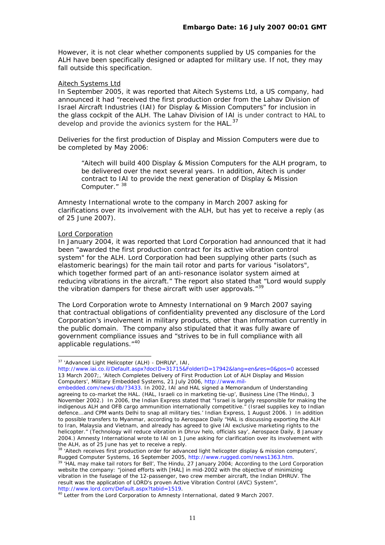However, it is not clear whether components supplied by US companies for the ALH have been specifically designed or adapted for military use. If not, they may fall outside this specification.

# Aitech Systems Ltd

In September 2005, it was reported that Aitech Systems Ltd, a US company, had announced it had "received the first production order from the Lahav Division of Israel Aircraft Industries (IAI) for Display & Mission Computers" for inclusion in the glass cockpit of the ALH. The Lahav Division of IAI is under contract to HAL to develop and provide the avionics system for the HAL.<sup>[37](#page-12-0)</sup>

Deliveries for the first production of Display and Mission Computers were due to be completed by May 2006:

*"Aitech will build 400 Display & Mission Computers for the ALH program, to be delivered over the next several years. In addition, Aitech is under contract to IAI to provide the next generation of Display & Mission Computer."* [38](#page-12-1)

Amnesty International wrote to the company in March 2007 asking for clarifications over its involvement with the ALH, but has yet to receive a reply (as of 25 June 2007).

#### Lord Corporation

l

In January 2004, it was reported that Lord Corporation had announced that it had been "awarded the first production contract for its active vibration control system" for the ALH. Lord Corporation had been supplying other parts (such as elastomeric bearings) for the main tail rotor and parts for various "isolators", which together formed part of an anti-resonance isolator system aimed at reducing vibrations in the aircraft." The report also stated that "Lord would supply the vibration dampers for these aircraft with user approvals."<sup>[39](#page-12-2)</sup>

The Lord Corporation wrote to Amnesty International on 9 March 2007 saying that contractual obligations of confidentiality prevented any disclosure of the Lord Corporation's involvement in military products, other than information currently in the public domain. The company also stipulated that it was fully aware of government compliance issues and "strives to be in full compliance with all applicable regulations."<sup>[40](#page-12-3)</sup>

<span id="page-12-0"></span><sup>37 &#</sup>x27;Advanced Light Helicopter (ALH) - DHRUV', *IAI*,

<http://www.iai.co.il/Default.aspx?docID=31715&FolderID=17942&lang=en&res=0&pos=0>accessed 13 March 2007;, 'Aitech Completes Delivery of First Production Lot of ALH Display and Mission Computers', *Military Embedded Systems,* 21 July 2006, [http://www.mil-](http://www.mil-embedded.com/news/db/?3433)

[embedded.com/news/db/?3433.](http://www.mil-embedded.com/news/db/?3433) In 2002, IAI and HAL signed a Memorandum of Understanding agreeing to co-market the HAL. (HAL, Israeli co in marketing tie-up', *Business Line (The Hindu)*, 3 November 2002.) In 2006, the Indian Express stated that "Israel is largely responsible for making the indigenous ALH and OFB cargo ammunition internationally competitive." (Israel supplies key to Indian defence...and CPM wants Delhi to snap all military ties.' *Indian Express*, 1 August 2006. ) In addition to possible transfers to Myanmar, according to *Aerospace Daily* "HAL is discussing exporting the ALH to Iran, Malaysia and Vietnam, and already has agreed to give IAI exclusive marketing rights to the helicopter." (Technology will reduce vibration in Dhruv helo, officials say', *Aerospace Daily*, 8 January 2004.) Amnesty International wrote to IAI on 1 June asking for clarification over its involvement with the ALH, as of 25 June has yet to receive a reply.

 $3$  'Aitech receives first production order for advanced light helicopter display & mission computers'.

<span id="page-12-2"></span><span id="page-12-1"></span>*Rugged Computer Systems*, 16 September 2005, [http://www.rugged.com/news1363.htm.](http://www.rugged.com/news1363.htm)<br><sup>39</sup> 'HAL may make tail rotors for Bell', *The Hindu*, 27 January 2004; According to the Lord Corporation website the company: "joined efforts with [HAL] in mid-2002 with the objective of minimizing vibration in the fuselage of the 12-passenger, two crew member aircraft, the Indian DHRUV. The result was the application of LORD's proven Active Vibration Control (AVC) System", http:/[/www.lord.com/Default.aspx?tabid=1519](http://www.lord.com/Default.aspx?tabid=1519). 40 Letter from the Lord Corporation to Amnesty International, dated 9 March 2007.

<span id="page-12-3"></span>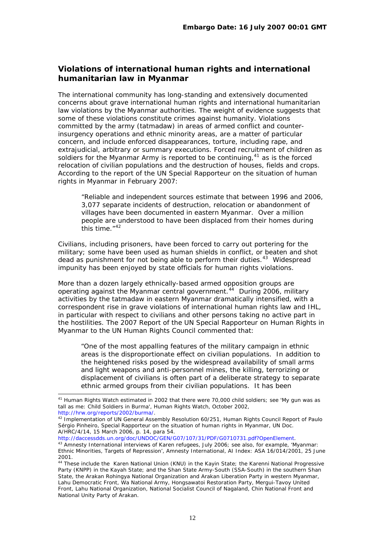# <span id="page-13-0"></span>**Violations of international human rights and international humanitarian law in Myanmar**

The international community has long-standing and extensively documented concerns about grave international human rights and international humanitarian law violations by the Myanmar authorities. The weight of evidence suggests that some of these violations constitute crimes against humanity. Violations committed by the army (*tatmadaw)* in areas of armed conflict and counterinsurgency operations and ethnic minority areas, are a matter of particular concern, and include enforced disappearances, torture, including rape, and extrajudicial, arbitrary or summary executions. Forced recruitment of children as soldiers for the Myanmar Army is reported to be continuing,  $4<sup>1</sup>$  as is the forced relocation of civilian populations and the destruction of houses, fields and crops. According to the report of the UN Special Rapporteur on the situation of human rights in Myanmar in February 2007:

"Reliable and independent sources estimate that between 1996 and 2006, 3,077 separate incidents of destruction, relocation or abandonment of villages have been documented in eastern Myanmar. Over a million people are understood to have been displaced from their homes during this time."<sup>[42](#page-13-2)</sup>

Civilians, including prisoners, have been forced to carry out portering for the military; some have been used as human shields in conflict, or beaten and shot dead as punishment for not being able to perform their duties.[43](#page-13-3) Widespread impunity has been enjoyed by state officials for human rights violations.

More than a dozen largely ethnically-based armed opposition groups are operating against the Myanmar central government.<sup>[44](#page-13-4)</sup> During 2006, military activities by the *tatmadaw* in eastern Myanmar dramatically intensified, with a correspondent rise in grave violations of international human rights law and IHL, in particular with respect to civilians and other persons taking no active part in the hostilities. The 2007 Report of the UN Special Rapporteur on Human Rights in Myanmar to the UN Human Rights Council commented that:

"One of the most appalling features of the military campaign in ethnic areas is the disproportionate effect on civilian populations. In addition to the heightened risks posed by the widespread availability of small arms and light weapons and anti-personnel mines, the killing, terrorizing or displacement of civilians is often part of a deliberate strategy to separate ethnic armed groups from their civilian populations. It has been

A/HRC/4/14, 15 March 2006, p. 14, para 54.<br>http://daccessdds.un.org/doc/UNDOC/GEN/G07/107/31/PDF/G0710731.pdf?OpenElement.

<span id="page-13-1"></span> $41$  Human Rights Watch estimated in 2002 that there were 70,000 child soldiers; see 'My gun was as tall as me: Child Soldiers in Burma', Human Rights Watch, October 2002,

<span id="page-13-2"></span>[http://hrw.org/reports/2002/burma/.](http://hrw.org/reports/2002/burma/) 42 Implementation of UN General Assembly Resolution 60/251, Human Rights Council Report of Paulo Sérgio Pinheiro, Special Rapporteur on the situation of human rights in Myanmar, UN Doc.

<span id="page-13-3"></span><sup>&</sup>lt;sup>43</sup> Amnesty International interviews of Karen refugees, July 2006; see also, for example, 'Myanmar: Ethnic Minorities, Targets of Repression', *Amnesty International,* AI Index: ASA 16/014/2001, 25 June 2001.

<span id="page-13-4"></span><sup>&</sup>lt;sup>44</sup> These include the Karen National Union (KNU) in the Kayin State; the Karenni National Progressive Party (KNPP) in the Kayah State; and the Shan State Army-South (SSA-South) in the southern Shan State, the Arakan Rohingya National Organization and Arakan Liberation Party in western Myanmar, Lahu Democratic Front, Wa National Army, Hongsawatoi Restoration Party, Mergui-Tavoy United Front, Lahu National Organization, National Socialist Council of Nagaland, Chin National Front and National Unity Party of Arakan.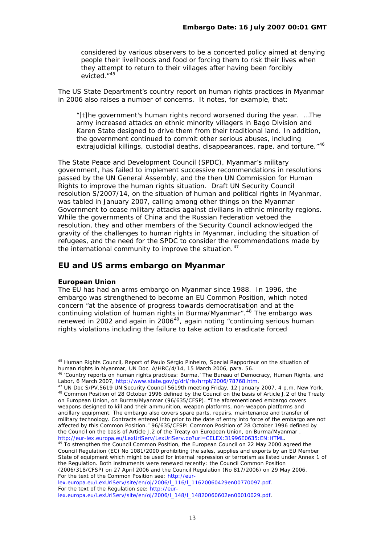<span id="page-14-0"></span>considered by various observers to be a concerted policy aimed at denying people their livelihoods and food or forcing them to risk their lives when they attempt to return to their villages after having been forcibly evicted<sup>"[45](#page-14-1)</sup>

The US State Department's country report on human rights practices in Myanmar in 2006 also raises a number of concerns. It notes, for example, that:

"[t]he government's human rights record worsened during the year. …The army increased attacks on ethnic minority villagers in Bago Division and Karen State designed to drive them from their traditional land. In addition, the government continued to commit other serious abuses, including extrajudicial killings, custodial deaths, disappearances, rape, and torture."<sup>[46](#page-14-2)</sup>

The State Peace and Development Council (SPDC), Myanmar's military government, has failed to implement successive recommendations in resolutions passed by the UN General Assembly, and the then UN Commission for Human Rights to improve the human rights situation. Draft UN Security Council resolution S/2007/14, on the situation of human and political rights in Myanmar, was tabled in January 2007, calling among other things on the Myanmar Government to cease military attacks against civilians in ethnic minority regions. While the governments of China and the Russian Federation vetoed the resolution, they and other members of the Security Council acknowledged the gravity of the challenges to human rights in Myanmar, including the situation of refugees, and the need for the SPDC to consider the recommendations made by the international community to improve the situation.<sup>[47](#page-14-3)</sup>

# **EU and US arms embargo on Myanmar**

#### **European Union**

l

The EU has had an arms embargo on Myanmar since 1988. In 1996, the embargo was strengthened to become an EU Common Position, which noted concern "at the absence of progress towards democratisation and at the continuing violation of human rights in Burma/Myanmar".<sup>[48](#page-14-4)</sup> The embargo was renewed in 2002 and again in 2006<sup>[49](#page-14-5)</sup>, again noting "continuing serious human rights violations including the failure to take action to eradicate forced

(2006/318/CFSP) on 27 April 2006 and the Council Regulation (No 817/2006) on 29 May 2006. For the text of the Common Position see: [http://eur-](http://eur-lex.europa.eu/LexUriServ/site/en/oj/2006/l_116/l_11620060429en00770097.pdf)

[lex.europa.eu/LexUriServ/site/en/oj/2006/l\\_116/l\\_11620060429en00770097.pdf.](http://eur-lex.europa.eu/LexUriServ/site/en/oj/2006/l_116/l_11620060429en00770097.pdf) For the text of the Regulation see: [http://eur-](http://eur-lex.europa.eu/LexUriServ/site/en/oj/2006/l_148/l_14820060602en00010029.pdf)

<span id="page-14-1"></span><sup>45</sup> Human Rights Council, Report of Paulo Sérgio Pinheiro, Special Rapporteur on the situation of human rights in Myanmar, UN Doc. A/HRC/4/14, 15 March 2006, para. 56.

<span id="page-14-2"></span><sup>46 &#</sup>x27;Country reports on human rights practices: Burma,' *The Bureau of Democracy, Human Rights, and* 

<span id="page-14-4"></span><span id="page-14-3"></span>Labor, 6 March 2007,<http://www.state.gov/g/drl/rls/hrrpt/2006/78768.htm>.<br><sup>47</sup> UN Doc S/PV.5619 UN Security Council 5619th meeting Friday, 12 January 2007, 4 p.m. New York.<br><sup>48</sup> Common Position of 28 October 1996 defined b on European Union, on Burma/Myanmar (96/635/CFSP). "The aforementioned embargo covers weapons designed to kill and their ammunition, weapon platforms, non-weapon platforms and ancillary equipment. The embargo also covers spare parts, repairs, maintenance and transfer of military technology. Contracts entered into prior to the date of entry into force of the embargo are not affected by this Common Position." 96/635/CFSP: Common Position of 28 October 1996 defined by the Council on the basis of Article J.2 of the Treaty on European Union, on Burma/Myanmar.<br>http://eur-lex.europa.eu/LexUriServ/LexUriServ.do?uri=CELEX:31996E0635:EN:HTML.

<span id="page-14-5"></span>http://eur-lext.europa.europa.europa.europa.europa.european Council on 22 May 2000 agreed the Council Regulation (EC) No 1081/2000 prohibiting the sales, supplies and exports by an EU Member State of equipment which might be used for internal repression or terrorism as listed under Annex 1 of the Regulation. Both instruments were renewed recently: the Council Common Position

[lex.europa.eu/LexUriServ/site/en/oj/2006/l\\_148/l\\_14820060602en00010029.pdf](http://eur-lex.europa.eu/LexUriServ/site/en/oj/2006/l_148/l_14820060602en00010029.pdf).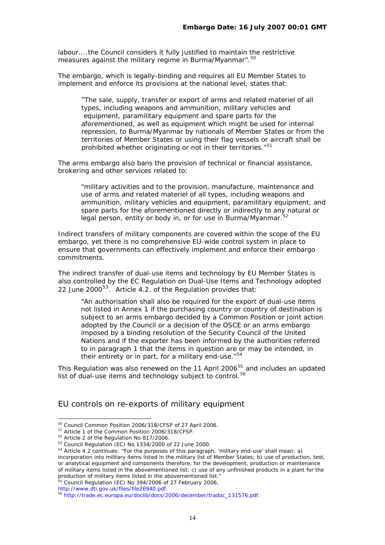labour....the Council considers it fully justified to maintain the restrictive measures against the military regime in Burma/Myanmar".<sup>[50](#page-15-0)</sup>

The embargo, which is legally-binding and requires all EU Member States to implement and enforce its provisions at the national level, states that:

"The sale, supply, transfer or export of arms and related materiel of all types, including weapons and ammunition, military vehicles and equipment, paramilitary equipment and spare parts for the aforementioned, as well as equipment which might be used for internal repression, to Burma/Myanmar by nationals of Member States or from the territories of Member States or using their flag vessels or aircraft shall be prohibited whether originating or not in their territories."<sup>[51](#page-15-1)</sup>

The arms embargo also bans the provision of technical or financial assistance, brokering and other services related to:

"military activities and to the provision, manufacture, maintenance and use of arms and related materiel of all types, including weapons and ammunition, military vehicles and equipment, paramilitary equipment, and spare parts for the aforementioned directly or indirectly to any natural or legal person, entity or body in, or for use in Burma/Myanmar.<sup>5</sup>

Indirect transfers of military components are covered within the scope of the EU embargo, yet there is no comprehensive EU-wide control system in place to ensure that governments can effectively implement and enforce their embargo commitments.

The indirect transfer of dual-use items and technology by EU Member States is also controlled by the EC Regulation on Dual-Use Items and Technology adopted 22 June 2000<sup>[53](#page-15-3)</sup>. Article 4.2. of the Regulation provides that:

"An authorisation shall also be required for the export of dual-use items not listed in Annex 1 if the purchasing country or country of destination is subject to an arms embargo decided by a Common Position or joint action adopted by the Council or a decision of the OSCE or an arms embargo imposed by a binding resolution of the Security Council of the United Nations and if the exporter has been informed by the authorities referred to in paragraph 1 that the items in question are or may be intended, in their entirety or in part, for a military end-use."<sup>[54](#page-15-4)</sup>

This Regulation was also renewed on the 11 April 2006<sup>[55](#page-15-5)</sup> and includes an updated list of dual-use items and technology subject to control.<sup>[56](#page-15-6)</sup>

# EU controls on re-exports of military equipment

<span id="page-15-6"></span>

<sup>50</sup> Council Common Position 2006/318/CFSP of 27 April 2006.

<span id="page-15-1"></span><span id="page-15-0"></span><sup>&</sup>lt;sup>51</sup> Article 1 of the Common Position 2006/318/CFSP.

<span id="page-15-2"></span><sup>&</sup>lt;sup>52</sup> Article 2 of the Regulation No 817/2006.

<sup>53</sup> Council Regulation (EC) No 1334/2000 of 22 June 2000.

<span id="page-15-4"></span><span id="page-15-3"></span><sup>54</sup> Article 4.2 continues: "For the purposes of this paragraph, 'military end-use' shall mean: a) incorporation into military items listed in the military list of Member States; b) use of production, test, or analytical equipment and components therefore, for the development, production or maintenance of military items listed in the abovementioned list; c) use of any unfinished products in a plant for the production of military items listed in the abovementioned list." 55 Council Regulation (EC) No 394/2006 of 27 February 2006,

<span id="page-15-5"></span>

[http://www.dti.gov.uk/files/file26940.pdf.](http://www.dti.gov.uk/files/file26940.pdf)<br><sup>56</sup> [http://trade.ec.europa.eu/doclib/docs/2006/december/tradoc\\_131576.pdf](http://trade.ec.europa.eu/doclib/docs/2006/december/tradoc_131576.pdf).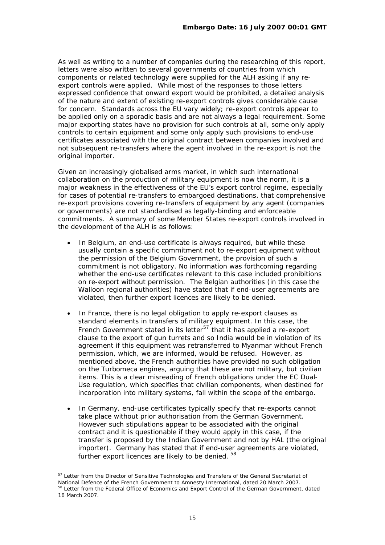As well as writing to a number of companies during the researching of this report, letters were also written to several governments of countries from which components or related technology were supplied for the ALH asking if any reexport controls were applied. While most of the responses to those letters expressed confidence that onward export would be prohibited, a detailed analysis of the nature and extent of existing re-export controls gives considerable cause for concern. Standards across the EU vary widely; re-export controls appear to be applied only on a sporadic basis and are not always a legal requirement. Some major exporting states have no provision for such controls at all, some only apply controls to certain equipment and some only apply such provisions to end-use certificates associated with the original contract between companies involved and not subsequent re-transfers where the agent involved in the re-export is not the original importer.

Given an increasingly globalised arms market, in which such international collaboration on the production of military equipment is now the norm, it is a major weakness in the effectiveness of the EU's export control regime, especially for cases of potential re-transfers to embargoed destinations, that comprehensive re-export provisions covering re-transfers of equipment by any agent (companies or governments) are not standardised as legally-binding and enforceable commitments. A summary of some Member States re-export controls involved in the development of the ALH is as follows:

- In Belgium, an end-use certificate is always required, but while these *usually* contain a specific commitment not to re-export equipment without the permission of the Belgium Government, the provision of such a commitment is not obligatory. No information was forthcoming regarding whether the end-use certificates relevant to this case included prohibitions on re-export without permission. The Belgian authorities (in this case the Walloon regional authorities) have stated that if end-user agreements are violated, then further export licences are likely to be denied.
- In France, there is no legal obligation to apply re-export clauses as standard elements in transfers of military equipment. In this case, the French Government stated in its letter<sup>[57](#page-16-0)</sup> that it has applied a re-export clause to the export of gun turrets and so India would be in violation of its agreement if this equipment was retransferred to Myanmar without French permission, which, we are informed, would be refused. However, as mentioned above, the French authorities have provided no such obligation on the Turbomeca engines, arguing that these are not military, but civilian items. This is a clear misreading of French obligations under the EC Dual-Use regulation, which specifies that civilian components, when destined for incorporation into military systems, fall within the scope of the embargo.
- In Germany, end-use certificates typically specify that re-exports cannot take place without prior authorisation from the German Government. However such stipulations appear to be associated with the original contract and it is questionable if they would apply in this case, if the transfer is proposed by the Indian Government and not by HAL (the original importer). Germany has stated that if end-user agreements are violated, further export licences are likely to be denied.  $58$

<span id="page-16-1"></span><span id="page-16-0"></span>l <sup>57</sup> Letter from the Director of Sensitive Technologies and Transfers of the General Secretariat of National Defence of the French Government to Amnesty International, dated 20 March 2007.<br><sup>58</sup> Letter from the Federal Office of Economics and Export Control of the German Government, dated 16 March 2007.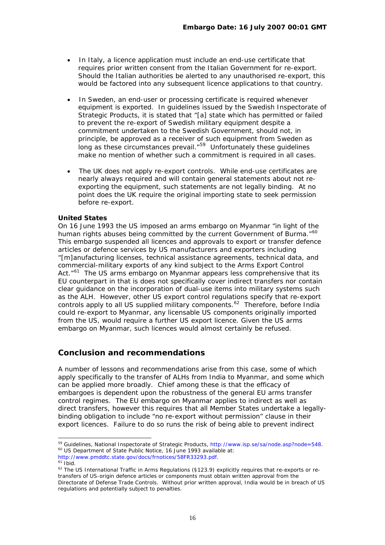- <span id="page-17-0"></span>• In Italy, a licence application must include an end-use certificate that requires prior written consent from the Italian Government for re-export. Should the Italian authorities be alerted to any unauthorised re-export, this would be factored into any subsequent licence applications to that country.
- In Sweden, an end-user or processing certificate is required whenever equipment is exported. In guidelines issued by the Swedish Inspectorate of Strategic Products, it is stated that "[a] state which has permitted or failed to prevent the re-export of Swedish military equipment despite a commitment undertaken to the Swedish Government, should not, in principle, be approved as a receiver of such equipment from Sweden as long as these circumstances prevail."[59](#page-17-1) Unfortunately these guidelines make no mention of whether such a commitment is required in all cases.
- The UK does not apply re-export controls. While end-use certificates are nearly always required and will contain general statements about not reexporting the equipment, such statements are not legally binding. At no point does the UK require the original importing state to seek permission before re-export.

# **United States**

On 16 June 1993 the US imposed an arms embargo on Myanmar "*in light of the human rights abuses being committed by the current Government of Burma."[60](#page-17-2)* This embargo suspended all licences and approvals to export or transfer defence articles or defence services by US manufacturers and exporters including *"[m]anufacturing licenses, technical assistance agreements, technical data, and commercial-military exports of any kind subject to the Arms Export Control*  Act.<sup> $n^{61}$  $n^{61}$  $n^{61}$ </sup> The US arms embargo on Myanmar appears less comprehensive that its EU counterpart in that is does not specifically cover indirect transfers nor contain clear guidance on the incorporation of dual-use items into military systems such as the ALH. However, other US export control regulations specify that re-export controls apply to all US supplied military components.<sup>[62](#page-17-4)</sup> Therefore, before India could re-export to Myanmar, any licensable US components originally imported from the US, would require a further US export licence. Given the US arms embargo on Myanmar, such licences would almost certainly be refused.

# **Conclusion and recommendations**

A number of lessons and recommendations arise from this case, some of which apply specifically to the transfer of ALHs from India to Myanmar, and some which can be applied more broadly. Chief among these is that the efficacy of embargoes is dependent upon the robustness of the general EU arms transfer control regimes. The EU embargo on Myanmar applies to indirect as well as direct transfers, however this requires that all Member States undertake a legallybinding obligation to include "no re-export without permission" clause in their export licences. Failure to do so runs the risk of being able to prevent indirect

<span id="page-17-1"></span><sup>&</sup>lt;sup>59</sup> Guidelines, National Inspectorate of Strategic Products, [http://www.isp.se/sa/node.asp?node=548.](http://www.isp.se/sa/node.asp?node=548) 60 US Department of State Public Notice, 16 June 1993 available at:

<span id="page-17-4"></span>

<span id="page-17-3"></span><span id="page-17-2"></span><http://www.pmddtc.state.gov/docs/frnotices/58FR33293.pdf>.<br><sup>61</sup> *Ibid.*<br><sup>62</sup> The US International Traffic in Arms Regulations (§123.9) explicitly requires that re-exports or retransfers of US-origin defence articles or components must obtain written approval from the Directorate of Defense Trade Controls. Without prior written approval, India would be in breach of US regulations and potentially subject to penalties.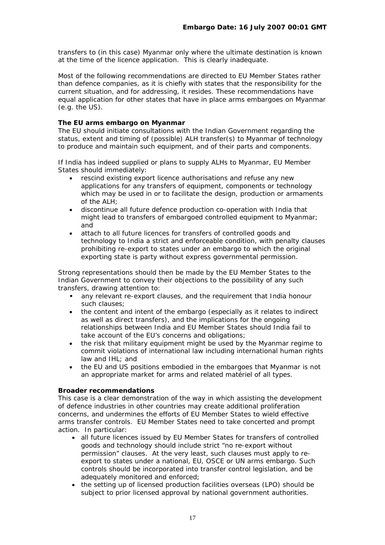transfers to (in this case) Myanmar only where the ultimate destination is known at the time of the licence application. This is clearly inadequate.

Most of the following recommendations are directed to EU Member States rather than defence companies, as it is chiefly with states that the responsibility for the current situation, and for addressing, it resides. These recommendations have equal application for other states that have in place arms embargoes on Myanmar (e.g. the US).

# **The EU arms embargo on Myanmar**

The EU should initiate consultations with the Indian Government regarding the status, extent and timing of (possible) ALH transfer(s) to Myanmar of technology to produce and maintain such equipment, and of their parts and components.

If India has indeed supplied or plans to supply ALHs to Myanmar, EU Member States should immediately:

- rescind existing export licence authorisations and refuse any new applications for any transfers of equipment, components or technology which may be used in or to facilitate the design, production or armaments of the ALH;
- discontinue all future defence production co-operation with India that might lead to transfers of embargoed controlled equipment to Myanmar; and
- attach to all future licences for transfers of controlled goods and technology to India a strict and enforceable condition, with penalty clauses prohibiting re-export to states under an embargo to which the original exporting state is party without express governmental permission.

Strong representations should then be made by the EU Member States to the Indian Government to convey their objections to the possibility of any such transfers, drawing attention to:

- any relevant re-export clauses, and the requirement that India honour such clauses;
- the content and intent of the embargo (especially as it relates to indirect as well as direct transfers), and the implications for the ongoing relationships between India and EU Member States should India fail to take account of the EU's concerns and obligations;
- the risk that military equipment might be used by the Myanmar regime to commit violations of international law including international human rights law and IHL; and
- the EU and US positions embodied in the embargoes that Myanmar is not an appropriate market for arms and related matériel of all types.

# **Broader recommendations**

This case is a clear demonstration of the way in which assisting the development of defence industries in other countries may create additional proliferation concerns, and undermines the efforts of EU Member States to wield effective arms transfer controls. EU Member States need to take concerted and prompt action. In particular:

- all future licences issued by EU Member States for transfers of controlled goods and technology should include strict "no re-export without permission" clauses. At the very least, such clauses must apply to reexport to states under a national, EU, OSCE or UN arms embargo. Such controls should be incorporated into transfer control legislation, and be adequately monitored and enforced;
- the setting up of licensed production facilities overseas (LPO) should be subject to prior licensed approval by national government authorities.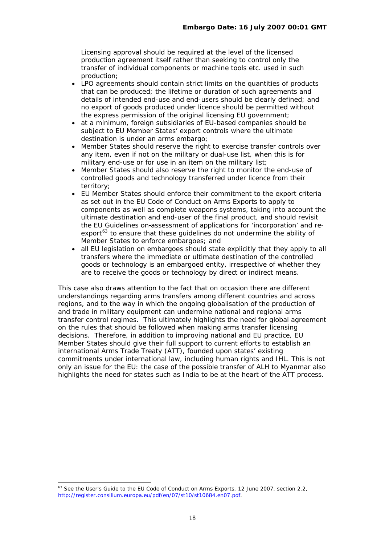Licensing approval should be required at the level of the licensed production agreement itself rather than seeking to control only the transfer of individual components or machine tools etc. used in such production;

- LPO agreements should contain strict limits on the quantities of products that can be produced; the lifetime or duration of such agreements and details of intended end-use and end-users should be clearly defined; and no export of goods produced under licence should be permitted without the express permission of the original licensing EU government;
- at a minimum, foreign subsidiaries of EU-based companies should be subject to EU Member States' export controls where the ultimate destination is under an arms embargo;
- Member States should reserve the right to exercise transfer controls over any item, even if not on the military or dual-use list, when this is for military end-use or for use in an item on the military list;
- Member States should also reserve the right to monitor the end-use of controlled goods and technology transferred under licence from their territory;
- EU Member States should enforce their commitment to the export criteria as set out in the EU Code of Conduct on Arms Exports to apply to components as well as complete weapons systems, taking into account the ultimate destination and end-user of the final product, and should revisit the EU Guidelines on-assessment of applications for 'incorporation' and reexport $63$  to ensure that these guidelines do not undermine the ability of Member States to enforce embargoes; and
- all EU legislation on embargoes should state explicitly that they apply to all transfers where the immediate or *ultimate* destination of the controlled goods or technology is an embargoed entity, irrespective of whether they are to receive the goods or technology by direct or indirect means.

This case also draws attention to the fact that on occasion there are different understandings regarding arms transfers among different countries and across regions, and to the way in which the ongoing globalisation of the production of and trade in military equipment can undermine national and regional arms transfer control regimes. This ultimately highlights the need for global agreement on the rules that should be followed when making arms transfer licensing decisions. Therefore, in addition to improving national and EU practice, EU Member States should give their full support to current efforts to establish an international Arms Trade Treaty (ATT), founded upon states' existing commitments under international law, including human rights and IHL. This is not only an issue for the EU: the case of the possible transfer of ALH to Myanmar also highlights the need for states such as India to be at the heart of the ATT process.

<span id="page-19-0"></span>l  $^{63}$  See the User's Guide to the EU Code of Conduct on Arms Exports, 12 June 2007, section 2.2, [http://register.consilium.europa.eu/pdf/en/07/st10/st10684.en07.pdf.](http://register.consilium.europa.eu/pdf/en/07/st10/st10684.en07.pdf)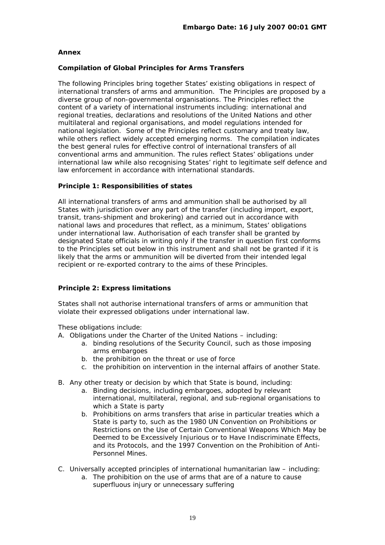# **Annex**

# **Compilation of Global Principles for Arms Transfers**

The following Principles bring together States' existing obligations in respect of international transfers of arms and ammunition. The Principles are proposed by a diverse group of non-governmental organisations. The Principles reflect the content of a variety of international instruments including: international and regional treaties, declarations and resolutions of the United Nations and other multilateral and regional organisations, and model regulations intended for national legislation. Some of the Principles reflect customary and treaty law, while others reflect widely accepted emerging norms. The compilation indicates the best general rules for effective control of international transfers of all conventional arms and ammunition. The rules reflect States' obligations under international law while also recognising States' right to legitimate self defence and law enforcement in accordance with international standards.

# *Principle 1: Responsibilities of states*

All international transfers of arms and ammunition shall be authorised by all States with jurisdiction over any part of the transfer (including import, export, transit, trans-shipment and brokering) and carried out in accordance with national laws and procedures that reflect, as a minimum, States' obligations under international law. Authorisation of each transfer shall be granted by designated State officials in writing only if the transfer in question first conforms to the Principles set out below in this instrument and shall not be granted if it is likely that the arms or ammunition will be diverted from their intended legal recipient or re-exported contrary to the aims of these Principles.

# *Principle 2: Express limitations*

States shall not authorise international transfers of arms or ammunition that violate their expressed obligations under international law.

These obligations include:

- A. Obligations under the Charter of the United Nations including:
	- a. binding resolutions of the Security Council, such as those imposing arms embargoes
	- b. the prohibition on the threat or use of force
	- c. the prohibition on intervention in the internal affairs of another State.
- B. Any other treaty or decision by which that State is bound, including:
	- a. Binding decisions, including embargoes, adopted by relevant international, multilateral, regional, and sub-regional organisations to which a State is party
	- b. Prohibitions on arms transfers that arise in particular treaties which a State is party to, such as the 1980 UN Convention on Prohibitions or Restrictions on the Use of Certain Conventional Weapons Which May be Deemed to be Excessively Injurious or to Have Indiscriminate Effects, and its Protocols, and the 1997 Convention on the Prohibition of Anti-Personnel Mines.
- C. Universally accepted principles of international humanitarian law including:
	- a. The prohibition on the use of arms that are of a nature to cause superfluous injury or unnecessary suffering